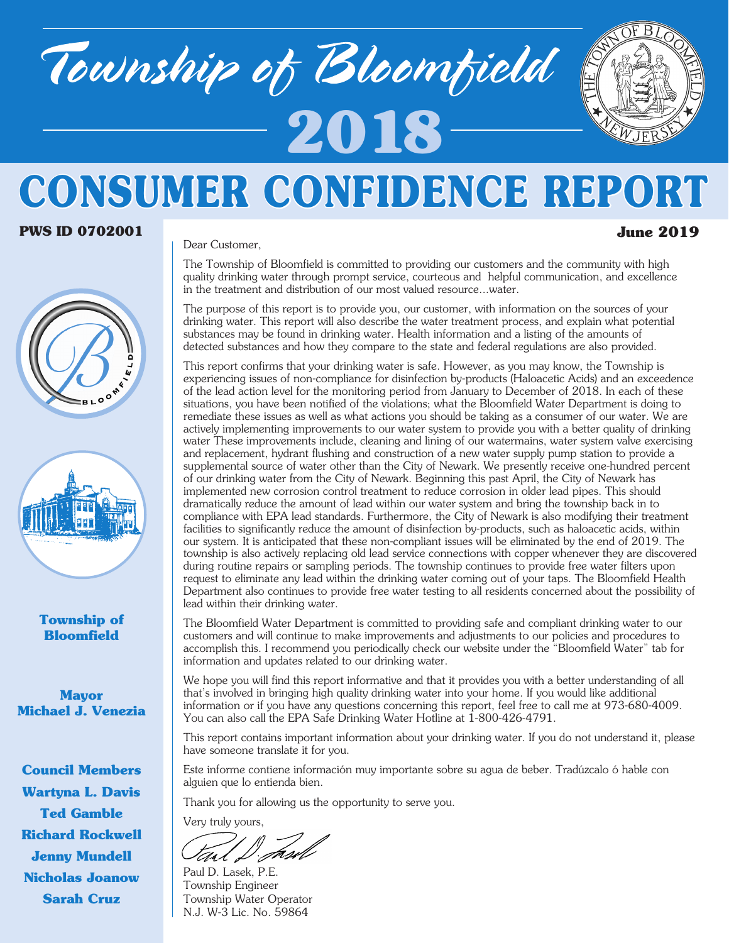# Township of Bloomfield **2018**



## **CONSUMER CONFIDENCE REPORT**

#### **PWS ID 0702001 June 2019**

Dear Customer,





#### **Township of Bloomfield**

**Mayor Michael J. Venezia**

**Council Members Wartyna L. Davis Ted Gamble Richard Rockwell Jenny Mundell Nicholas Joanow Sarah Cruz**

The Township of Bloomfield is committed to providing our customers and the community with high quality drinking water through prompt service, courteous and helpful communication, and excellence in the treatment and distribution of our most valued resource...water.

The purpose of this report is to provide you, our customer, with information on the sources of your drinking water. This report will also describe the water treatment process, and explain what potential substances may be found in drinking water. Health information and a listing of the amounts of detected substances and how they compare to the state and federal regulations are also provided.

This report confirms that your drinking water is safe. However, as you may know, the Township is experiencing issues of non-compliance for disinfection by-products (Haloacetic Acids) and an exceedence of the lead action level for the monitoring period from January to December of 2018. In each of these situations, you have been notified of the violations; what the Bloomfield Water Department is doing to remediate these issues as well as what actions you should be taking as a consumer of our water. We are actively implementing improvements to our water system to provide you with a better quality of drinking water These improvements include, cleaning and lining of our watermains, water system valve exercising and replacement, hydrant flushing and construction of a new water supply pump station to provide a supplemental source of water other than the City of Newark. We presently receive one-hundred percent of our drinking water from the City of Newark. Beginning this past April, the City of Newark has implemented new corrosion control treatment to reduce corrosion in older lead pipes. This should dramatically reduce the amount of lead within our water system and bring the township back in to compliance with EPA lead standards. Furthermore, the City of Newark is also modifying their treatment facilities to significantly reduce the amount of disinfection by-products, such as haloacetic acids, within our system. It is anticipated that these non-compliant issues will be eliminated by the end of 2019. The township is also actively replacing old lead service connections with copper whenever they are discovered during routine repairs or sampling periods. The township continues to provide free water filters upon request to eliminate any lead within the drinking water coming out of your taps. The Bloomfield Health Department also continues to provide free water testing to all residents concerned about the possibility of lead within their drinking water.

The Bloomfield Water Department is committed to providing safe and compliant drinking water to our customers and will continue to make improvements and adjustments to our policies and procedures to accomplish this. I recommend you periodically check our website under the "Bloomfield Water" tab for information and updates related to our drinking water.

We hope you will find this report informative and that it provides you with a better understanding of all that's involved in bringing high quality drinking water into your home. If you would like additional information or if you have any questions concerning this report, feel free to call me at 973-680-4009. You can also call the EPA Safe Drinking Water Hotline at 1-800-426-4791.

This report contains important information about your drinking water. If you do not understand it, please have someone translate it for you.

Este informe contiene información muy importante sobre su agua de beber. Tradúzcalo ó hable con alguien que lo entienda bien.

Thank you for allowing us the opportunity to serve you.

Very truly yours,

Paul D. Lasek, P.E. Township Engineer Township Water Operator N.J. W-3 Lic. No. 59864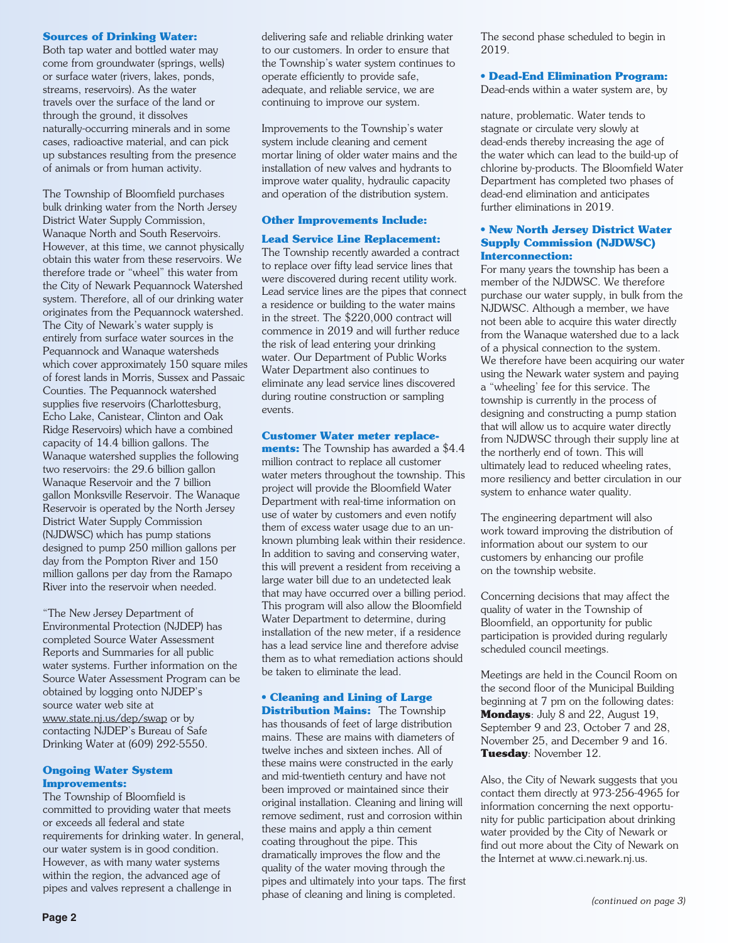#### **Sources of Drinking Water:**

Both tap water and bottled water may come from groundwater (springs, wells) or surface water (rivers, lakes, ponds, streams, reservoirs). As the water travels over the surface of the land or through the ground, it dissolves naturally-occurring minerals and in some cases, radioactive material, and can pick up substances resulting from the presence of animals or from human activity.

The Township of Bloomfield purchases bulk drinking water from the North Jersey District Water Supply Commission, Wanaque North and South Reservoirs. However, at this time, we cannot physically obtain this water from these reservoirs. We therefore trade or "wheel" this water from the City of Newark Pequannock Watershed system. Therefore, all of our drinking water originates from the Pequannock watershed. The City of Newark's water supply is entirely from surface water sources in the Pequannock and Wanaque watersheds which cover approximately 150 square miles of forest lands in Morris, Sussex and Passaic Counties. The Pequannock watershed supplies five reservoirs (Charlottesburg, Echo Lake, Canistear, Clinton and Oak Ridge Reservoirs) which have a combined capacity of 14.4 billion gallons. The Wanaque watershed supplies the following two reservoirs: the 29.6 billion gallon Wanaque Reservoir and the 7 billion gallon Monksville Reservoir. The Wanaque Reservoir is operated by the North Jersey District Water Supply Commission (NJDWSC) which has pump stations designed to pump 250 million gallons per day from the Pompton River and 150 million gallons per day from the Ramapo River into the reservoir when needed.

"The New Jersey Department of Environmental Protection (NJDEP) has completed Source Water Assessment Reports and Summaries for all public water systems. Further information on the Source Water Assessment Program can be obtained by logging onto NJDEP's source water web site at www.state.nj.us/dep/swap or by contacting NJDEP's Bureau of Safe Drinking Water at (609) 292-5550.

#### **Ongoing Water System Improvements:**

The Township of Bloomfield is committed to providing water that meets or exceeds all federal and state requirements for drinking water. In general, our water system is in good condition. However, as with many water systems within the region, the advanced age of pipes and valves represent a challenge in

delivering safe and reliable drinking water to our customers. In order to ensure that the Township's water system continues to operate efficiently to provide safe, adequate, and reliable service, we are continuing to improve our system.

Improvements to the Township's water system include cleaning and cement mortar lining of older water mains and the installation of new valves and hydrants to improve water quality, hydraulic capacity and operation of the distribution system.

#### **Other Improvements Include:**

#### **Lead Service Line Replacement:**

The Township recently awarded a contract to replace over fifty lead service lines that were discovered during recent utility work. Lead service lines are the pipes that connect a residence or building to the water mains in the street. The \$220,000 contract will commence in 2019 and will further reduce the risk of lead entering your drinking water. Our Department of Public Works Water Department also continues to eliminate any lead service lines discovered during routine construction or sampling events.

#### **Customer Water meter replace-**

**ments:** The Township has awarded a \$4.4 million contract to replace all customer water meters throughout the township. This project will provide the Bloomfield Water Department with real-time information on use of water by customers and even notify them of excess water usage due to an unknown plumbing leak within their residence. In addition to saving and conserving water, this will prevent a resident from receiving a large water bill due to an undetected leak that may have occurred over a billing period. This program will also allow the Bloomfield Water Department to determine, during installation of the new meter, if a residence has a lead service line and therefore advise them as to what remediation actions should be taken to eliminate the lead.

#### **• Cleaning and Lining of Large**

**Distribution Mains:** The Township has thousands of feet of large distribution mains. These are mains with diameters of twelve inches and sixteen inches. All of these mains were constructed in the early and mid-twentieth century and have not been improved or maintained since their original installation. Cleaning and lining will remove sediment, rust and corrosion within these mains and apply a thin cement coating throughout the pipe. This dramatically improves the flow and the quality of the water moving through the pipes and ultimately into your taps. The first phase of cleaning and lining is completed.

The second phase scheduled to begin in 2019.

#### **• Dead-End Elimination Program:**

Dead-ends within a water system are, by

nature, problematic. Water tends to stagnate or circulate very slowly at dead-ends thereby increasing the age of the water which can lead to the build-up of chlorine by-products. The Bloomfield Water Department has completed two phases of dead-end elimination and anticipates further eliminations in 2019.

#### **• New North Jersey District Water Supply Commission (NJDWSC) Interconnection:**

For many years the township has been a member of the NJDWSC. We therefore purchase our water supply, in bulk from the NJDWSC. Although a member, we have not been able to acquire this water directly from the Wanaque watershed due to a lack of a physical connection to the system. We therefore have been acquiring our water using the Newark water system and paying a "wheeling' fee for this service. The township is currently in the process of designing and constructing a pump station that will allow us to acquire water directly from NJDWSC through their supply line at the northerly end of town. This will ultimately lead to reduced wheeling rates, more resiliency and better circulation in our system to enhance water quality.

The engineering department will also work toward improving the distribution of information about our system to our customers by enhancing our profile on the township website.

Concerning decisions that may affect the quality of water in the Township of Bloomfield, an opportunity for public participation is provided during regularly scheduled council meetings.

Meetings are held in the Council Room on the second floor of the Municipal Building beginning at 7 pm on the following dates: **Mondays**: July 8 and 22, August 19, September 9 and 23, October 7 and 28, November 25, and December 9 and 16. **Tuesday**: November 12.

Also, the City of Newark suggests that you contact them directly at 973-256-4965 for information concerning the next opportunity for public participation about drinking water provided by the City of Newark or find out more about the City of Newark on the Internet at www.ci.newark.nj.us.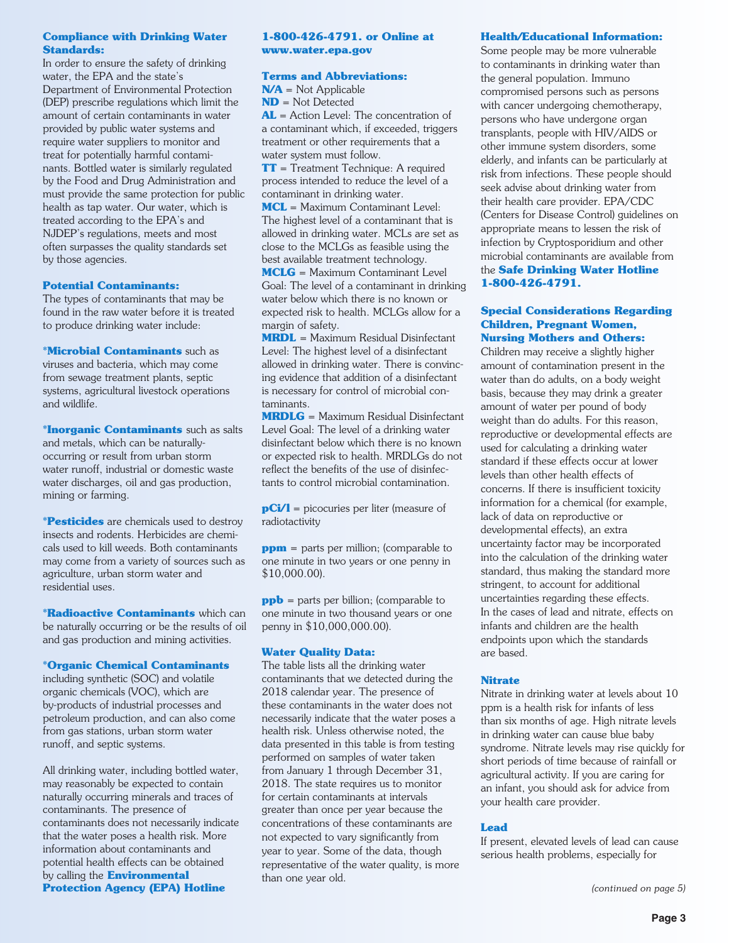#### **Compliance with Drinking Water Standards:**

In order to ensure the safety of drinking water, the EPA and the state's Department of Environmental Protection (DEP) prescribe regulations which limit the amount of certain contaminants in water provided by public water systems and require water suppliers to monitor and treat for potentially harmful contaminants. Bottled water is similarly regulated by the Food and Drug Administration and must provide the same protection for public health as tap water. Our water, which is treated according to the EPA's and NJDEP's regulations, meets and most often surpasses the quality standards set by those agencies.

#### **Potential Contaminants:**

The types of contaminants that may be found in the raw water before it is treated to produce drinking water include:

**\*Microbial Contaminants** such as viruses and bacteria, which may come from sewage treatment plants, septic systems, agricultural livestock operations and wildlife.

**\*Inorganic Contaminants** such as salts and metals, which can be naturallyoccurring or result from urban storm water runoff, industrial or domestic waste water discharges, oil and gas production, mining or farming.

**\*Pesticides** are chemicals used to destroy insects and rodents. Herbicides are chemicals used to kill weeds. Both contaminants may come from a variety of sources such as agriculture, urban storm water and residential uses.

**\*Radioactive Contaminants** which can be naturally occurring or be the results of oil and gas production and mining activities.

#### **\*Organic Chemical Contaminants**

including synthetic (SOC) and volatile organic chemicals (VOC), which are by-products of industrial processes and petroleum production, and can also come from gas stations, urban storm water runoff, and septic systems.

All drinking water, including bottled water, may reasonably be expected to contain naturally occurring minerals and traces of contaminants. The presence of contaminants does not necessarily indicate that the water poses a health risk. More information about contaminants and potential health effects can be obtained by calling the **Environmental Protection Agency (EPA) Hotline**

#### **1-800-426-4791. or Online at www.water.epa.gov**

#### **Terms and Abbreviations:**

**N/A** = Not Applicable **ND** = Not Detected **AL** = Action Level: The concentration of a contaminant which, if exceeded, triggers treatment or other requirements that a water system must follow.

**TT** = Treatment Technique: A required process intended to reduce the level of a contaminant in drinking water.

**MCL** = Maximum Contaminant Level: The highest level of a contaminant that is allowed in drinking water. MCLs are set as close to the MCLGs as feasible using the best available treatment technology.

**MCLG** = Maximum Contaminant Level Goal: The level of a contaminant in drinking water below which there is no known or expected risk to health. MCLGs allow for a margin of safety.

**MRDL** = Maximum Residual Disinfectant Level: The highest level of a disinfectant allowed in drinking water. There is convincing evidence that addition of a disinfectant is necessary for control of microbial contaminants.

**MRDLG** = Maximum Residual Disinfectant Level Goal: The level of a drinking water disinfectant below which there is no known or expected risk to health. MRDLGs do not reflect the benefits of the use of disinfectants to control microbial contamination.

**pCi/l** = picocuries per liter (measure of radiotactivity

**ppm** = parts per million; (comparable to one minute in two years or one penny in \$10,000.00).

**ppb** = parts per billion; (comparable to one minute in two thousand years or one penny in \$10,000,000.00).

#### **Water Quality Data:**

The table lists all the drinking water contaminants that we detected during the 2018 calendar year. The presence of these contaminants in the water does not necessarily indicate that the water poses a health risk. Unless otherwise noted, the data presented in this table is from testing performed on samples of water taken from January 1 through December 31, 2018. The state requires us to monitor for certain contaminants at intervals greater than once per year because the concentrations of these contaminants are not expected to vary significantly from year to year. Some of the data, though representative of the water quality, is more than one year old.

#### **Health/Educational Information:**

Some people may be more vulnerable to contaminants in drinking water than the general population. Immuno compromised persons such as persons with cancer undergoing chemotherapy, persons who have undergone organ transplants, people with HIV/AIDS or other immune system disorders, some elderly, and infants can be particularly at risk from infections. These people should seek advise about drinking water from their health care provider. EPA/CDC (Centers for Disease Control) guidelines on appropriate means to lessen the risk of infection by Cryptosporidium and other microbial contaminants are available from the **Safe Drinking Water Hotline 1-800-426-4791.**

#### **Special Considerations Regarding Children, Pregnant Women, Nursing Mothers and Others:**

Children may receive a slightly higher amount of contamination present in the water than do adults, on a body weight basis, because they may drink a greater amount of water per pound of body weight than do adults. For this reason, reproductive or developmental effects are used for calculating a drinking water standard if these effects occur at lower levels than other health effects of concerns. If there is insufficient toxicity information for a chemical (for example, lack of data on reproductive or developmental effects), an extra uncertainty factor may be incorporated into the calculation of the drinking water standard, thus making the standard more stringent, to account for additional uncertainties regarding these effects. In the cases of lead and nitrate, effects on infants and children are the health endpoints upon which the standards are based.

#### **Nitrate**

Nitrate in drinking water at levels about 10 ppm is a health risk for infants of less than six months of age. High nitrate levels in drinking water can cause blue baby syndrome. Nitrate levels may rise quickly for short periods of time because of rainfall or agricultural activity. If you are caring for an infant, you should ask for advice from your health care provider.

#### **Lead**

If present, elevated levels of lead can cause serious health problems, especially for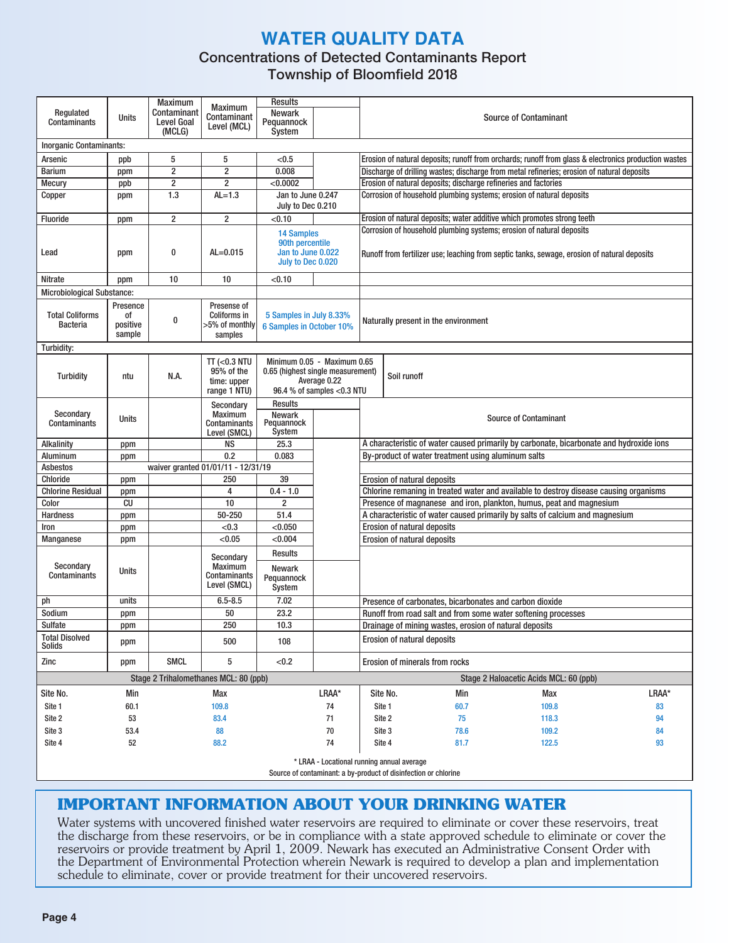#### **WATER QUALITY DATA**

#### Concentrations of Detected Contaminants Report

Township of Bloomfield 2018

| Regulated<br>Contaminants                 | Units                                | <b>Maximum</b><br>Contaminant<br><b>Level Goal</b> | <b>Maximum</b><br>Contaminant                                 | <b>Results</b><br><b>Newark</b><br>Pequannock                                  |                                                                                                                                                                     | <b>Source of Contaminant</b>                                            |                                                                                                                                                              |                                                    |                                                                                                      |       |  |  |  |  |  |  |
|-------------------------------------------|--------------------------------------|----------------------------------------------------|---------------------------------------------------------------|--------------------------------------------------------------------------------|---------------------------------------------------------------------------------------------------------------------------------------------------------------------|-------------------------------------------------------------------------|--------------------------------------------------------------------------------------------------------------------------------------------------------------|----------------------------------------------------|------------------------------------------------------------------------------------------------------|-------|--|--|--|--|--|--|
|                                           |                                      | (MCLG)                                             | Level (MCL)                                                   | System                                                                         |                                                                                                                                                                     |                                                                         |                                                                                                                                                              |                                                    |                                                                                                      |       |  |  |  |  |  |  |
|                                           | Inorganic Contaminants:              |                                                    |                                                               |                                                                                |                                                                                                                                                                     |                                                                         |                                                                                                                                                              |                                                    |                                                                                                      |       |  |  |  |  |  |  |
| Arsenic                                   | ppb                                  | 5                                                  | 5                                                             | < 0.5                                                                          |                                                                                                                                                                     |                                                                         |                                                                                                                                                              |                                                    | Erosion of natural deposits; runoff from orchards; runoff from glass & electronics production wastes |       |  |  |  |  |  |  |
| <b>Barium</b>                             | ppm                                  | $\overline{2}$                                     | $\overline{2}$                                                | 0.008                                                                          |                                                                                                                                                                     |                                                                         |                                                                                                                                                              |                                                    | Discharge of drilling wastes; discharge from metal refineries; erosion of natural deposits           |       |  |  |  |  |  |  |
| <b>Mecury</b>                             | ppb                                  | $\overline{\mathbf{c}}$                            | $\overline{2}$                                                | < 0.0002                                                                       |                                                                                                                                                                     |                                                                         |                                                                                                                                                              |                                                    | Erosion of natural deposits; discharge refineries and factories                                      |       |  |  |  |  |  |  |
| Copper                                    | ppm                                  | 1.3                                                | $AL=1.3$                                                      | Jan to June 0.247                                                              |                                                                                                                                                                     | Corrosion of household plumbing systems; erosion of natural deposits    |                                                                                                                                                              |                                                    |                                                                                                      |       |  |  |  |  |  |  |
|                                           |                                      |                                                    |                                                               | July to Dec 0.210                                                              |                                                                                                                                                                     |                                                                         |                                                                                                                                                              |                                                    |                                                                                                      |       |  |  |  |  |  |  |
| <b>Fluoride</b>                           | ppm                                  | $\overline{\mathbf{c}}$                            | $\overline{2}$                                                | < 0.10                                                                         |                                                                                                                                                                     | Erosion of natural deposits; water additive which promotes strong teeth |                                                                                                                                                              |                                                    |                                                                                                      |       |  |  |  |  |  |  |
| Lead                                      | ppm                                  | 0                                                  | $AL = 0.015$                                                  | <b>14 Samples</b><br>90th percentile<br>Jan to June 0.022<br>July to Dec 0.020 | Corrosion of household plumbing systems; erosion of natural deposits<br>Runoff from fertilizer use; leaching from septic tanks, sewage, erosion of natural deposits |                                                                         |                                                                                                                                                              |                                                    |                                                                                                      |       |  |  |  |  |  |  |
| Nitrate                                   | ppm                                  | 10                                                 | 10                                                            | < 0.10                                                                         |                                                                                                                                                                     |                                                                         |                                                                                                                                                              |                                                    |                                                                                                      |       |  |  |  |  |  |  |
| <b>Microbiological Substance:</b>         |                                      |                                                    |                                                               |                                                                                |                                                                                                                                                                     |                                                                         |                                                                                                                                                              |                                                    |                                                                                                      |       |  |  |  |  |  |  |
| <b>Total Coliforms</b><br><b>Bacteria</b> | Presence<br>0f<br>positive<br>sample | 0                                                  | Presense of<br>Coliforms in<br>>5% of monthly<br>samples      | 5 Samples in July 8.33%<br><b>6 Samples in October 10%</b>                     |                                                                                                                                                                     | Naturally present in the environment                                    |                                                                                                                                                              |                                                    |                                                                                                      |       |  |  |  |  |  |  |
| Turbidity:                                |                                      |                                                    |                                                               |                                                                                |                                                                                                                                                                     |                                                                         |                                                                                                                                                              |                                                    |                                                                                                      |       |  |  |  |  |  |  |
| <b>Turbidity</b>                          | ntu                                  | N.A.                                               | TT ( $<$ 0.3 NTU<br>95% of the<br>time: upper<br>range 1 NTU) | Minimum 0.05 - Maximum 0.65<br>0.65 (highest single measurement)               | Average 0.22<br>96.4 % of samples <0.3 NTU                                                                                                                          |                                                                         | Soil runoff                                                                                                                                                  |                                                    |                                                                                                      |       |  |  |  |  |  |  |
| Secondary<br>Contaminants                 | Units                                |                                                    | Secondary<br>Maximum<br>Contaminants<br>Level (SMCL)          | Results<br><b>Newark</b><br>Pequannock<br>System                               |                                                                                                                                                                     |                                                                         |                                                                                                                                                              |                                                    | <b>Source of Contaminant</b>                                                                         |       |  |  |  |  |  |  |
| Alkalinity                                | ppm                                  |                                                    | <b>NS</b>                                                     | 25.3                                                                           |                                                                                                                                                                     |                                                                         |                                                                                                                                                              |                                                    | A characteristic of water caused primarily by carbonate, bicarbonate and hydroxide ions              |       |  |  |  |  |  |  |
| Aluminum                                  | ppm                                  |                                                    | 0.2                                                           | 0.083                                                                          |                                                                                                                                                                     |                                                                         |                                                                                                                                                              | By-product of water treatment using aluminum salts |                                                                                                      |       |  |  |  |  |  |  |
| Asbestos                                  |                                      |                                                    | waiver granted 01/01/11 - 12/31/19                            |                                                                                |                                                                                                                                                                     |                                                                         |                                                                                                                                                              |                                                    |                                                                                                      |       |  |  |  |  |  |  |
| Chloride                                  | ppm                                  |                                                    | 250                                                           | 39                                                                             |                                                                                                                                                                     |                                                                         | Erosion of natural deposits                                                                                                                                  |                                                    |                                                                                                      |       |  |  |  |  |  |  |
| <b>Chlorine Residual</b>                  | ppm                                  |                                                    | 4                                                             | $0.4 - 1.0$                                                                    |                                                                                                                                                                     |                                                                         | Chlorine remaning in treated water and available to destroy disease causing organisms<br>Presence of magnanese and iron, plankton, humus, peat and magnesium |                                                    |                                                                                                      |       |  |  |  |  |  |  |
| Color                                     | CU                                   |                                                    | 10                                                            | $\overline{2}$                                                                 |                                                                                                                                                                     |                                                                         |                                                                                                                                                              |                                                    |                                                                                                      |       |  |  |  |  |  |  |
| Hardness                                  | ppm                                  |                                                    | 50-250                                                        | 51.4                                                                           |                                                                                                                                                                     |                                                                         |                                                                                                                                                              |                                                    | A characteristic of water caused primarily by salts of calcium and magnesium                         |       |  |  |  |  |  |  |
| Iron                                      | ppm                                  |                                                    | < 0.3                                                         | < 0.050                                                                        |                                                                                                                                                                     |                                                                         | Erosion of natural deposits                                                                                                                                  |                                                    |                                                                                                      |       |  |  |  |  |  |  |
| Manganese                                 | ppm                                  |                                                    | < 0.05                                                        | < 0.004                                                                        |                                                                                                                                                                     |                                                                         | Erosion of natural deposits                                                                                                                                  |                                                    |                                                                                                      |       |  |  |  |  |  |  |
| Secondary<br>Contaminants                 | Units                                |                                                    | Secondary<br><b>Maximum</b><br>Contaminants<br>Level (SMCL)   | Results<br><b>Newark</b><br>Pequannock<br>System                               |                                                                                                                                                                     |                                                                         |                                                                                                                                                              |                                                    |                                                                                                      |       |  |  |  |  |  |  |
| ph                                        | units                                |                                                    | $6.5 - 8.5$                                                   | 7.02                                                                           |                                                                                                                                                                     |                                                                         |                                                                                                                                                              |                                                    | Presence of carbonates, bicarbonates and carbon dioxide                                              |       |  |  |  |  |  |  |
| Sodium                                    | ppm                                  |                                                    | 50                                                            | 23.2                                                                           |                                                                                                                                                                     |                                                                         | Runoff from road salt and from some water softening processes                                                                                                |                                                    |                                                                                                      |       |  |  |  |  |  |  |
| Sulfate                                   | ppm                                  |                                                    | 250                                                           | 10.3                                                                           |                                                                                                                                                                     |                                                                         | Drainage of mining wastes, erosion of natural deposits                                                                                                       |                                                    |                                                                                                      |       |  |  |  |  |  |  |
| <b>Total Disolved</b><br>Solids           | ppm                                  |                                                    | 500                                                           | 108                                                                            |                                                                                                                                                                     |                                                                         | Erosion of natural deposits                                                                                                                                  |                                                    |                                                                                                      |       |  |  |  |  |  |  |
| Zinc                                      | ppm                                  | <b>SMCL</b>                                        | 5                                                             | < 0.2                                                                          |                                                                                                                                                                     |                                                                         | Erosion of minerals from rocks                                                                                                                               |                                                    |                                                                                                      |       |  |  |  |  |  |  |
|                                           |                                      |                                                    | Stage 2 Trihalomethanes MCL: 80 (ppb)                         |                                                                                |                                                                                                                                                                     |                                                                         |                                                                                                                                                              | Stage 2 Haloacetic Acids MCL: 60 (ppb)             |                                                                                                      |       |  |  |  |  |  |  |
| Site No.                                  | Min                                  |                                                    | Max                                                           |                                                                                | LRAA*                                                                                                                                                               |                                                                         | Site No.                                                                                                                                                     | Min                                                | Max                                                                                                  | LRAA* |  |  |  |  |  |  |
| Site 1                                    | 60.1                                 |                                                    | 109.8                                                         |                                                                                | 74                                                                                                                                                                  | Site 1                                                                  |                                                                                                                                                              | 60.7                                               | 109.8                                                                                                | 83    |  |  |  |  |  |  |
| Site 2                                    | 53                                   |                                                    | 83.4                                                          |                                                                                | 71                                                                                                                                                                  |                                                                         | Site 2                                                                                                                                                       | 75                                                 | 118.3                                                                                                | 94    |  |  |  |  |  |  |
| Site 3                                    | 53.4                                 |                                                    | 88                                                            |                                                                                | 70                                                                                                                                                                  |                                                                         | Site 3                                                                                                                                                       | 78.6                                               | 109.2                                                                                                | 84    |  |  |  |  |  |  |
| Site 4                                    | 52                                   |                                                    | 88.2                                                          |                                                                                | 74                                                                                                                                                                  |                                                                         | Site 4                                                                                                                                                       | 81.7                                               | 122.5                                                                                                | 93    |  |  |  |  |  |  |
|                                           |                                      |                                                    |                                                               |                                                                                |                                                                                                                                                                     |                                                                         |                                                                                                                                                              |                                                    |                                                                                                      |       |  |  |  |  |  |  |
|                                           |                                      |                                                    |                                                               |                                                                                | * LRAA - Locational running annual average                                                                                                                          |                                                                         | Source of contaminant: a by-product of disinfection or chlorine                                                                                              |                                                    |                                                                                                      |       |  |  |  |  |  |  |

#### **IMPORTANT INFORMATION ABOUT YOUR DRINKING WATER**

Water systems with uncovered finished water reservoirs are required to eliminate or cover these reservoirs, treat the discharge from these reservoirs, or be in compliance with a state approved schedule to eliminate or cover the reservoirs or provide treatment by April 1, 2009. Newark has executed an Administrative Consent Order with the Department of Environmental Protection wherein Newark is required to develop a plan and implementation schedule to eliminate, cover or provide treatment for their uncovered reservoirs.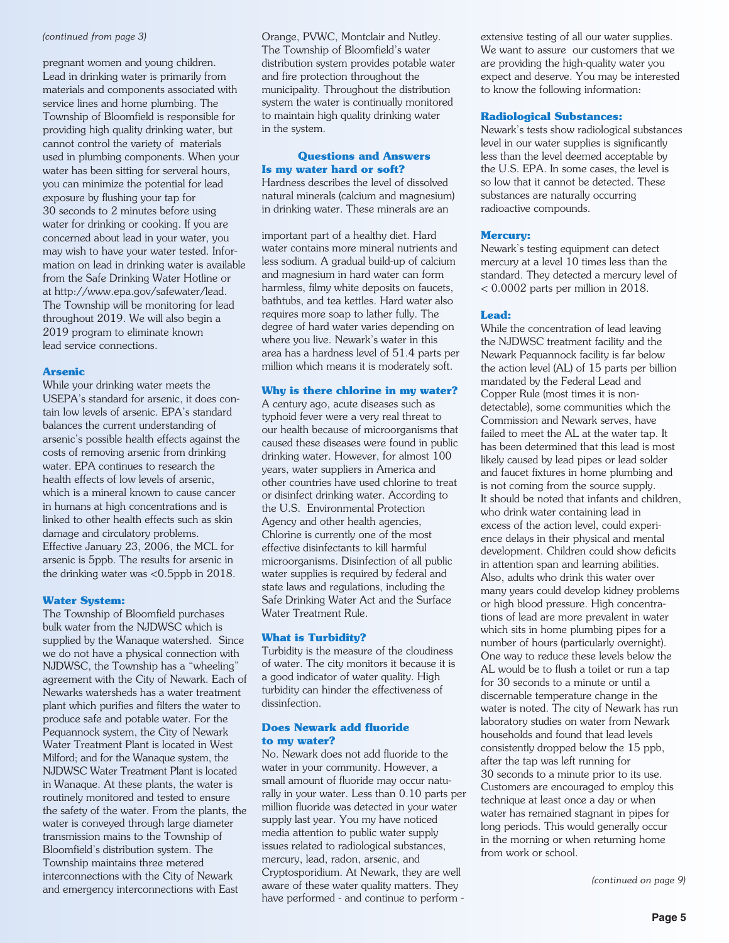#### *(continued from page 3)*

pregnant women and young children. Lead in drinking water is primarily from materials and components associated with service lines and home plumbing. The Township of Bloomfield is responsible for providing high quality drinking water, but cannot control the variety of materials used in plumbing components. When your water has been sitting for serveral hours, you can minimize the potential for lead exposure by flushing your tap for 30 seconds to 2 minutes before using water for drinking or cooking. If you are concerned about lead in your water, you may wish to have your water tested. Information on lead in drinking water is available from the Safe Drinking Water Hotline or at http://www.epa.gov/safewater/lead. The Township will be monitoring for lead throughout 2019. We will also begin a 2019 program to eliminate known lead service connections.

#### **Arsenic**

While your drinking water meets the USEPA's standard for arsenic, it does contain low levels of arsenic. EPA's standard balances the current understanding of arsenic's possible health effects against the costs of removing arsenic from drinking water. EPA continues to research the health effects of low levels of arsenic, which is a mineral known to cause cancer in humans at high concentrations and is linked to other health effects such as skin damage and circulatory problems. Effective January 23, 2006, the MCL for arsenic is 5ppb. The results for arsenic in the drinking water was <0.5ppb in 2018.

#### **Water System:**

The Township of Bloomfield purchases bulk water from the NJDWSC which is supplied by the Wanaque watershed. Since we do not have a physical connection with NJDWSC, the Township has a "wheeling" agreement with the City of Newark. Each of Newarks watersheds has a water treatment plant which purifies and filters the water to produce safe and potable water. For the Pequannock system, the City of Newark Water Treatment Plant is located in West Milford; and for the Wanaque system, the NJDWSC Water Treatment Plant is located in Wanaque. At these plants, the water is routinely monitored and tested to ensure the safety of the water. From the plants, the water is conveyed through large diameter transmission mains to the Township of Bloomfield's distribution system. The Township maintains three metered interconnections with the City of Newark and emergency interconnections with East

Orange, PVWC, Montclair and Nutley. The Township of Bloomfield's water distribution system provides potable water and fire protection throughout the municipality. Throughout the distribution system the water is continually monitored to maintain high quality drinking water in the system.

#### **Questions and Answers Is my water hard or soft?**

Hardness describes the level of dissolved natural minerals (calcium and magnesium) in drinking water. These minerals are an

important part of a healthy diet. Hard water contains more mineral nutrients and less sodium. A gradual build-up of calcium and magnesium in hard water can form harmless, filmy white deposits on faucets, bathtubs, and tea kettles. Hard water also requires more soap to lather fully. The degree of hard water varies depending on where you live. Newark's water in this area has a hardness level of 51.4 parts per million which means it is moderately soft.

#### **Why is there chlorine in my water?**

A century ago, acute diseases such as typhoid fever were a very real threat to our health because of microorganisms that caused these diseases were found in public drinking water. However, for almost 100 years, water suppliers in America and other countries have used chlorine to treat or disinfect drinking water. According to the U.S. Environmental Protection Agency and other health agencies, Chlorine is currently one of the most effective disinfectants to kill harmful microorganisms. Disinfection of all public water supplies is required by federal and state laws and regulations, including the Safe Drinking Water Act and the Surface Water Treatment Rule.

#### **What is Turbidity?**

Turbidity is the measure of the cloudiness of water. The city monitors it because it is a good indicator of water quality. High turbidity can hinder the effectiveness of dissinfection.

#### **Does Newark add fluoride to my water?**

No. Newark does not add fluoride to the water in your community. However, a small amount of fluoride may occur naturally in your water. Less than 0.10 parts per million fluoride was detected in your water supply last year. You my have noticed media attention to public water supply issues related to radiological substances, mercury, lead, radon, arsenic, and Cryptosporidium. At Newark, they are well aware of these water quality matters. They have performed - and continue to perform - extensive testing of all our water supplies. We want to assure our customers that we are providing the high-quality water you expect and deserve. You may be interested to know the following information:

#### **Radiological Substances:**

Newark's tests show radiological substances level in our water supplies is significantly less than the level deemed acceptable by the U.S. EPA. In some cases, the level is so low that it cannot be detected. These substances are naturally occurring radioactive compounds.

#### **Mercury:**

Newark's testing equipment can detect mercury at a level 10 times less than the standard. They detected a mercury level of < 0.0002 parts per million in 2018.

#### **Lead:**

While the concentration of lead leaving the NJDWSC treatment facility and the Newark Pequannock facility is far below the action level (AL) of 15 parts per billion mandated by the Federal Lead and Copper Rule (most times it is nondetectable), some communities which the Commission and Newark serves, have failed to meet the AL at the water tap. It has been determined that this lead is most likely caused by lead pipes or lead solder and faucet fixtures in home plumbing and is not coming from the source supply. It should be noted that infants and children, who drink water containing lead in excess of the action level, could experience delays in their physical and mental development. Children could show deficits in attention span and learning abilities. Also, adults who drink this water over many years could develop kidney problems or high blood pressure. High concentrations of lead are more prevalent in water which sits in home plumbing pipes for a number of hours (particularly overnight). One way to reduce these levels below the AL would be to flush a toilet or run a tap for 30 seconds to a minute or until a discernable temperature change in the water is noted. The city of Newark has run laboratory studies on water from Newark households and found that lead levels consistently dropped below the 15 ppb, after the tap was left running for 30 seconds to a minute prior to its use. Customers are encouraged to employ this technique at least once a day or when water has remained stagnant in pipes for long periods. This would generally occur in the morning or when returning home from work or school.

*(continued on page 9)*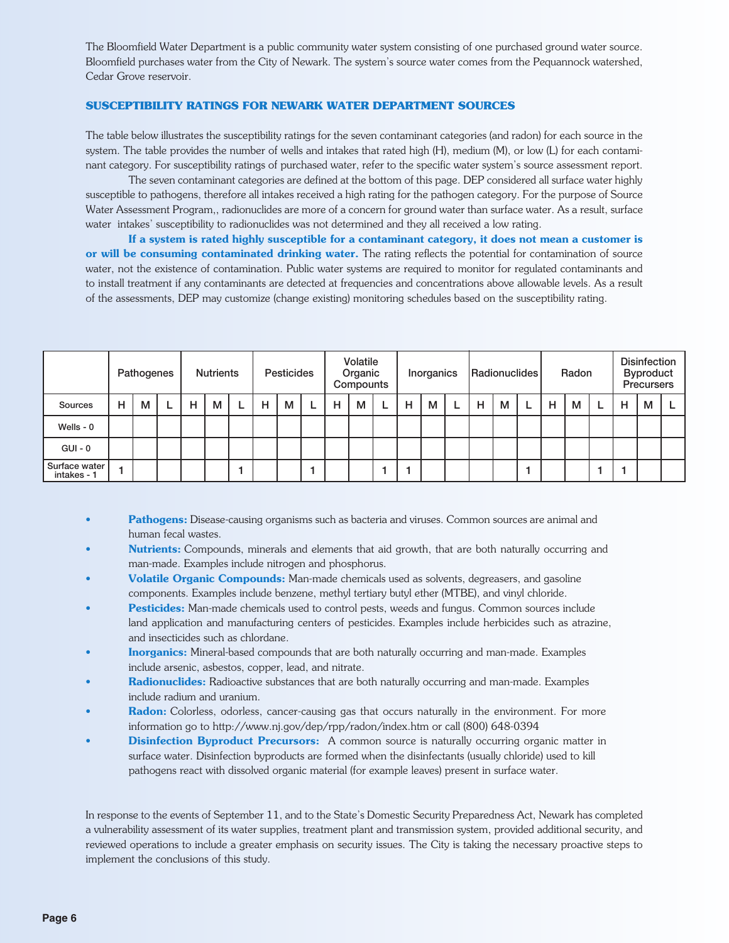The Bloomfield Water Department is a public community water system consisting of one purchased ground water source. Bloomfield purchases water from the City of Newark. The system's source water comes from the Pequannock watershed, Cedar Grove reservoir.

#### **SUSCEPTIBILITY RATINGS FOR NEWARK WATER DEPARTMENT SOURCES**

The table below illustrates the susceptibility ratings for the seven contaminant categories (and radon) for each source in the system. The table provides the number of wells and intakes that rated high (H), medium (M), or low (L) for each contaminant category. For susceptibility ratings of purchased water, refer to the specific water system's source assessment report.

The seven contaminant categories are defined at the bottom of this page. DEP considered all surface water highly susceptible to pathogens, therefore all intakes received a high rating for the pathogen category. For the purpose of Source Water Assessment Program,, radionuclides are more of a concern for ground water than surface water. As a result, surface water intakes' susceptibility to radionuclides was not determined and they all received a low rating.

If a system is rated highly susceptible for a contaminant category, it does not mean a customer is or will be consuming contaminated drinking water. The rating reflects the potential for contamination of source water, not the existence of contamination. Public water systems are required to monitor for regulated contaminants and to install treatment if any contaminants are detected at frequencies and concentrations above allowable levels. As a result of the assessments, DEP may customize (change existing) monitoring schedules based on the susceptibility rating.

|                              | Pathogenes |   | <b>Nutrients</b> |   | <b>Pesticides</b> |  |   | Volatile<br>Organic<br>Compounts |  |   | Inorganics |  |   | Radionuclides |  |   | Radon |  |   | <b>Disinfection</b><br><b>Byproduct</b><br><b>Precursers</b> |  |   |   |  |
|------------------------------|------------|---|------------------|---|-------------------|--|---|----------------------------------|--|---|------------|--|---|---------------|--|---|-------|--|---|--------------------------------------------------------------|--|---|---|--|
| Sources                      | н          | М |                  | Н | M                 |  | н | м                                |  | н | м          |  | H | M             |  | н | м     |  | н | м                                                            |  | н | M |  |
| Wells - $0$                  |            |   |                  |   |                   |  |   |                                  |  |   |            |  |   |               |  |   |       |  |   |                                                              |  |   |   |  |
| $GUI - 0$                    |            |   |                  |   |                   |  |   |                                  |  |   |            |  |   |               |  |   |       |  |   |                                                              |  |   |   |  |
| Surface water<br>intakes - 1 |            |   |                  |   |                   |  |   |                                  |  |   |            |  |   |               |  |   |       |  |   |                                                              |  |   |   |  |

- Pathogens: Disease-causing organisms such as bacteria and viruses. Common sources are animal and human fecal wastes.
- Nutrients: Compounds, minerals and elements that aid growth, that are both naturally occurring and man-made. Examples include nitrogen and phosphorus.
- Volatile Organic Compounds: Man-made chemicals used as solvents, degreasers, and gasoline components. Examples include benzene, methyl tertiary butyl ether (MTBE), and vinyl chloride.
- Pesticides: Man-made chemicals used to control pests, weeds and fungus. Common sources include land application and manufacturing centers of pesticides. Examples include herbicides such as atrazine, and insecticides such as chlordane.
- **Inorganics:** Mineral-based compounds that are both naturally occurring and man-made. Examples include arsenic, asbestos, copper, lead, and nitrate.
- Radionuclides: Radioactive substances that are both naturally occurring and man-made. Examples include radium and uranium.
- Radon: Colorless, odorless, cancer-causing gas that occurs naturally in the environment. For more information go to http://www.nj.gov/dep/rpp/radon/index.htm or call (800) 648-0394
- **Disinfection Byproduct Precursors:** A common source is naturally occurring organic matter in surface water. Disinfection byproducts are formed when the disinfectants (usually chloride) used to kill pathogens react with dissolved organic material (for example leaves) present in surface water.

In response to the events of September 11, and to the State's Domestic Security Preparedness Act, Newark has completed a vulnerability assessment of its water supplies, treatment plant and transmission system, provided additional security, and reviewed operations to include a greater emphasis on security issues. The City is taking the necessary proactive steps to implement the conclusions of this study.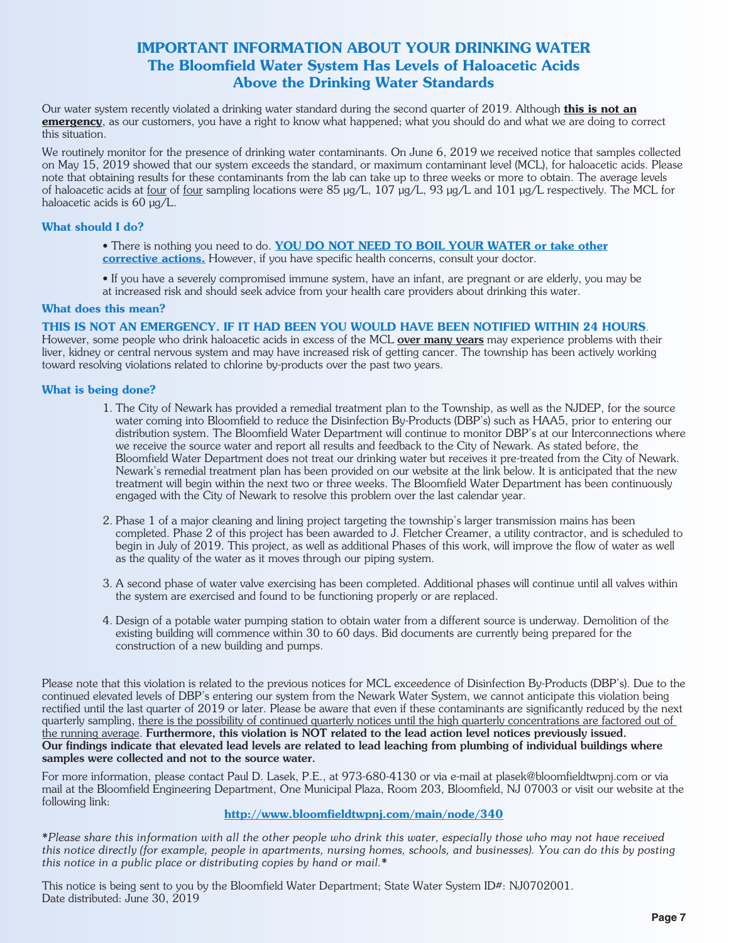#### IMPORTANT INFORMATION ABOUT YOUR DRINKING WATER The Bloomfield Water System Has Levels of Haloacetic Acids Above the Drinking Water Standards

Our water system recently violated a drinking water standard during the second quarter of 2019. Although this is not an emergency, as our customers, you have a right to know what happened; what you should do and what we are doing to correct this situation.

We routinely monitor for the presence of drinking water contaminants. On June 6, 2019 we received notice that samples collected on May 15, 2019 showed that our system exceeds the standard, or maximum contaminant level (MCL), for haloacetic acids. Please note that obtaining results for these contaminants from the lab can take up to three weeks or more to obtain. The average levels of haloacetic acids at <u>four</u> of <u>four</u> sampling locations were 85 µg/L, 107 µg/L, 93 µg/L and 101 µg/L respectively. The MCL for haloacetic acids is 60  $\mu$ g/L.

#### What should I do?

- There is nothing you need to do. YOU DO NOT NEED TO BOIL YOUR WATER or take other corrective actions. However, if you have specific health concerns, consult your doctor.
- If you have a severely compromised immune system, have an infant, are pregnant or are elderly, you may be at increased risk and should seek advice from your health care providers about drinking this water.

#### What does this mean?

#### THIS IS NOT AN EMERGENCY. IF IT HAD BEEN YOU WOULD HAVE BEEN NOTIFIED WITHIN 24 HOURS.

However, some people who drink haloacetic acids in excess of the MCL over many years may experience problems with their liver, kidney or central nervous system and may have increased risk of getting cancer. The township has been actively working toward resolving violations related to chlorine by-products over the past two years.

#### What is being done?

- 1. The City of Newark has provided a remedial treatment plan to the Township, as well as the NJDEP, for the source water coming into Bloomfield to reduce the Disinfection By-Products (DBP's) such as HAA5, prior to entering our distribution system. The Bloomfield Water Department will continue to monitor DBP's at our Interconnections where we receive the source water and report all results and feedback to the City of Newark. As stated before, the Bloomfield Water Department does not treat our drinking water but receives it pre-treated from the City of Newark. Newark's remedial treatment plan has been provided on our website at the link below. It is anticipated that the new treatment will begin within the next two or three weeks. The Bloomfield Water Department has been continuously engaged with the City of Newark to resolve this problem over the last calendar year.
- 2. Phase 1 of a major cleaning and lining project targeting the township's larger transmission mains has been completed. Phase 2 of this project has been awarded to J. Fletcher Creamer, a utility contractor, and is scheduled to begin in July of 2019. This project, as well as additional Phases of this work, will improve the flow of water as well as the quality of the water as it moves through our piping system.
- 3. A second phase of water valve exercising has been completed. Additional phases will continue until all valves within the system are exercised and found to be functioning properly or are replaced.
- 4. Design of a potable water pumping station to obtain water from a different source is underway. Demolition of the existing building will commence within 30 to 60 days. Bid documents are currently being prepared for the construction of a new building and pumps.

Please note that this violation is related to the previous notices for MCL exceedence of Disinfection By-Products (DBP's). Due to the continued elevated levels of DBP's entering our system from the Newark Water System, we cannot anticipate this violation being rectified until the last quarter of 2019 or later. Please be aware that even if these contaminants are significantly reduced by the next quarterly sampling, there is the possibility of continued quarterly notices until the high quarterly concentrations are factored out of the running average. Furthermore, this violation is NOT related to the lead action level notices previously issued. Our findings indicate that elevated lead levels are related to lead leaching from plumbing of individual buildings where samples were collected and not to the source water.

For more information, please contact Paul D. Lasek, P.E., at 973-680-4130 or via e-mail at plasek@bloomfieldtwpnj.com or via mail at the Bloomfield Engineering Department, One Municipal Plaza, Room 203, Bloomfield, NJ 07003 or visit our website at the following link:

#### http://www.bloomfieldtwpnj.com/main/node/340

*\*Please share this information with all the other people who drink this water, especially those who may not have received this notice directly (for example, people in apartments, nursing homes, schools, and businesses). You can do this by posting this notice in a public place or distributing copies by hand or mail.\**

This notice is being sent to you by the Bloomfield Water Department; State Water System ID#: NJ0702001. Date distributed: June 30, 2019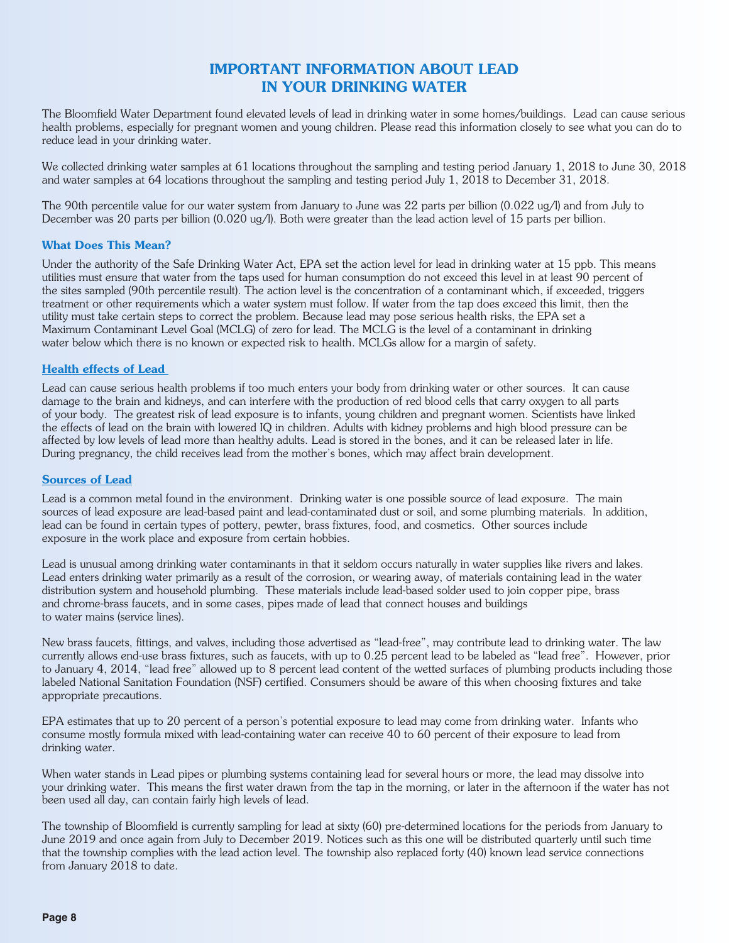#### IMPORTANT INFORMATION ABOUT LEAD IN YOUR DRINKING WATER

The Bloomfield Water Department found elevated levels of lead in drinking water in some homes/buildings. Lead can cause serious health problems, especially for pregnant women and young children. Please read this information closely to see what you can do to reduce lead in your drinking water.

We collected drinking water samples at 61 locations throughout the sampling and testing period January 1, 2018 to June 30, 2018 and water samples at 64 locations throughout the sampling and testing period July 1, 2018 to December 31, 2018.

The 90th percentile value for our water system from January to June was 22 parts per billion (0.022 ug/l) and from July to December was 20 parts per billion (0.020 ug/l). Both were greater than the lead action level of 15 parts per billion.

#### What Does This Mean?

Under the authority of the Safe Drinking Water Act, EPA set the action level for lead in drinking water at 15 ppb. This means utilities must ensure that water from the taps used for human consumption do not exceed this level in at least 90 percent of the sites sampled (90th percentile result). The action level is the concentration of a contaminant which, if exceeded, triggers treatment or other requirements which a water system must follow. If water from the tap does exceed this limit, then the utility must take certain steps to correct the problem. Because lead may pose serious health risks, the EPA set a Maximum Contaminant Level Goal (MCLG) of zero for lead. The MCLG is the level of a contaminant in drinking water below which there is no known or expected risk to health. MCLGs allow for a margin of safety.

#### Health effects of Lead

Lead can cause serious health problems if too much enters your body from drinking water or other sources. It can cause damage to the brain and kidneys, and can interfere with the production of red blood cells that carry oxygen to all parts of your body. The greatest risk of lead exposure is to infants, young children and pregnant women. Scientists have linked the effects of lead on the brain with lowered IQ in children. Adults with kidney problems and high blood pressure can be affected by low levels of lead more than healthy adults. Lead is stored in the bones, and it can be released later in life. During pregnancy, the child receives lead from the mother's bones, which may affect brain development.

#### Sources of Lead

Lead is a common metal found in the environment. Drinking water is one possible source of lead exposure. The main sources of lead exposure are lead-based paint and lead-contaminated dust or soil, and some plumbing materials. In addition, lead can be found in certain types of pottery, pewter, brass fixtures, food, and cosmetics. Other sources include exposure in the work place and exposure from certain hobbies.

Lead is unusual among drinking water contaminants in that it seldom occurs naturally in water supplies like rivers and lakes. Lead enters drinking water primarily as a result of the corrosion, or wearing away, of materials containing lead in the water distribution system and household plumbing. These materials include lead-based solder used to join copper pipe, brass and chrome-brass faucets, and in some cases, pipes made of lead that connect houses and buildings to water mains (service lines).

New brass faucets, fittings, and valves, including those advertised as "lead-free", may contribute lead to drinking water. The law currently allows end-use brass fixtures, such as faucets, with up to 0.25 percent lead to be labeled as "lead free". However, prior to January 4, 2014, "lead free" allowed up to 8 percent lead content of the wetted surfaces of plumbing products including those labeled National Sanitation Foundation (NSF) certified. Consumers should be aware of this when choosing fixtures and take appropriate precautions.

EPA estimates that up to 20 percent of a person's potential exposure to lead may come from drinking water. Infants who consume mostly formula mixed with lead-containing water can receive 40 to 60 percent of their exposure to lead from drinking water.

When water stands in Lead pipes or plumbing systems containing lead for several hours or more, the lead may dissolve into your drinking water. This means the first water drawn from the tap in the morning, or later in the afternoon if the water has not been used all day, can contain fairly high levels of lead.

The township of Bloomfield is currently sampling for lead at sixty (60) pre-determined locations for the periods from January to June 2019 and once again from July to December 2019. Notices such as this one will be distributed quarterly until such time that the township complies with the lead action level. The township also replaced forty (40) known lead service connections from January 2018 to date.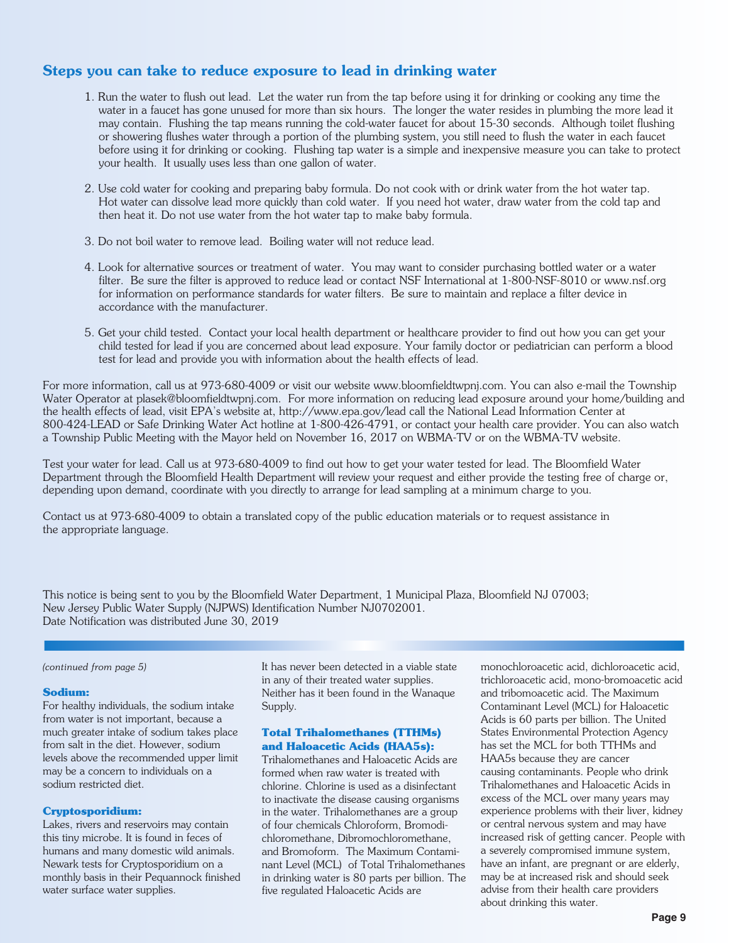#### Steps you can take to reduce exposure to lead in drinking water

- 1. Run the water to flush out lead. Let the water run from the tap before using it for drinking or cooking any time the water in a faucet has gone unused for more than six hours. The longer the water resides in plumbing the more lead it may contain. Flushing the tap means running the cold-water faucet for about 15-30 seconds. Although toilet flushing or showering flushes water through a portion of the plumbing system, you still need to flush the water in each faucet before using it for drinking or cooking. Flushing tap water is a simple and inexpensive measure you can take to protect your health. It usually uses less than one gallon of water.
- 2. Use cold water for cooking and preparing baby formula. Do not cook with or drink water from the hot water tap. Hot water can dissolve lead more quickly than cold water. If you need hot water, draw water from the cold tap and then heat it. Do not use water from the hot water tap to make baby formula.
- 3. Do not boil water to remove lead. Boiling water will not reduce lead.
- 4. Look for alternative sources or treatment of water. You may want to consider purchasing bottled water or a water filter. Be sure the filter is approved to reduce lead or contact NSF International at 1-800-NSF-8010 or www.nsf.org for information on performance standards for water filters. Be sure to maintain and replace a filter device in accordance with the manufacturer.
- 5. Get your child tested. Contact your local health department or healthcare provider to find out how you can get your child tested for lead if you are concerned about lead exposure. Your family doctor or pediatrician can perform a blood test for lead and provide you with information about the health effects of lead.

For more information, call us at 973-680-4009 or visit our website www.bloomfieldtwpnj.com. You can also e-mail the Township Water Operator at plasek@bloomfieldtwpnj.com. For more information on reducing lead exposure around your home/building and the health effects of lead, visit EPA's website at, http://www.epa.gov/lead call the National Lead Information Center at 800-424-LEAD or Safe Drinking Water Act hotline at 1-800-426-4791, or contact your health care provider. You can also watch a Township Public Meeting with the Mayor held on November 16, 2017 on WBMA-TV or on the WBMA-TV website.

Test your water for lead. Call us at 973-680-4009 to find out how to get your water tested for lead. The Bloomfield Water Department through the Bloomfield Health Department will review your request and either provide the testing free of charge or, depending upon demand, coordinate with you directly to arrange for lead sampling at a minimum charge to you.

Contact us at 973-680-4009 to obtain a translated copy of the public education materials or to request assistance in the appropriate language.

This notice is being sent to you by the Bloomfield Water Department, 1 Municipal Plaza, Bloomfield NJ 07003; New Jersey Public Water Supply (NJPWS) Identification Number NJ0702001. Date Notification was distributed June 30, 2019

#### *(continued from page 5)*

#### **Sodium:**

For healthy individuals, the sodium intake from water is not important, because a much greater intake of sodium takes place from salt in the diet. However, sodium levels above the recommended upper limit may be a concern to individuals on a sodium restricted diet.

#### **Cryptosporidium:**

Lakes, rivers and reservoirs may contain this tiny microbe. It is found in feces of humans and many domestic wild animals. Newark tests for Cryptosporidium on a monthly basis in their Pequannock finished water surface water supplies.

It has never been detected in a viable state in any of their treated water supplies. Neither has it been found in the Wanaque Supply.

#### **Total Trihalomethanes (TTHMs) and Haloacetic Acids (HAA5s):**

Trihalomethanes and Haloacetic Acids are formed when raw water is treated with chlorine. Chlorine is used as a disinfectant to inactivate the disease causing organisms in the water. Trihalomethanes are a group of four chemicals Chloroform, Bromodichloromethane, Dibromochloromethane, and Bromoform. The Maximum Contaminant Level (MCL) of Total Trihalomethanes in drinking water is 80 parts per billion. The five regulated Haloacetic Acids are

monochloroacetic acid, dichloroacetic acid, trichloroacetic acid, mono-bromoacetic acid and tribomoacetic acid. The Maximum Contaminant Level (MCL) for Haloacetic Acids is 60 parts per billion. The United States Environmental Protection Agency has set the MCL for both TTHMs and HAA5s because they are cancer causing contaminants. People who drink Trihalomethanes and Haloacetic Acids in excess of the MCL over many years may experience problems with their liver, kidney or central nervous system and may have increased risk of getting cancer. People with a severely compromised immune system, have an infant, are pregnant or are elderly, may be at increased risk and should seek advise from their health care providers about drinking this water.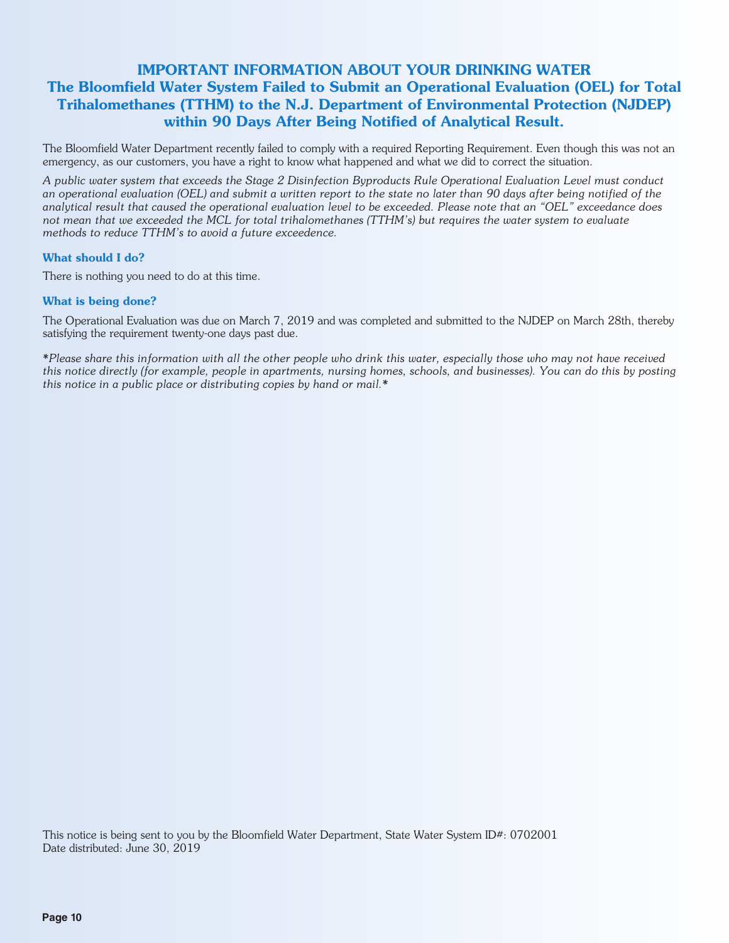#### IMPORTANT INFORMATION ABOUT YOUR DRINKING WATER The Bloomfield Water System Failed to Submit an Operational Evaluation (OEL) for Total Trihalomethanes (TTHM) to the N.J. Department of Environmental Protection (NJDEP) within 90 Days After Being Notified of Analytical Result.

The Bloomfield Water Department recently failed to comply with a required Reporting Requirement. Even though this was not an emergency, as our customers, you have a right to know what happened and what we did to correct the situation.

*A public water system that exceeds the Stage 2 Disinfection Byproducts Rule Operational Evaluation Level must conduct an operational evaluation (OEL) and submit a written report to the state no later than 90 days after being notified of the analytical result that caused the operational evaluation level to be exceeded. Please note that an "OEL" exceedance does not mean that we exceeded the MCL for total trihalomethanes (TTHM's) but requires the water system to evaluate methods to reduce TTHM's to avoid a future exceedence.*

#### What should I do?

There is nothing you need to do at this time.

#### What is being done?

The Operational Evaluation was due on March 7, 2019 and was completed and submitted to the NJDEP on March 28th, thereby satisfying the requirement twenty-one days past due.

*\*Please share this information with all the other people who drink this water, especially those who may not have received this notice directly (for example, people in apartments, nursing homes, schools, and businesses). You can do this by posting this notice in a public place or distributing copies by hand or mail.\**

This notice is being sent to you by the Bloomfield Water Department, State Water System ID#: 0702001 Date distributed: June 30, 2019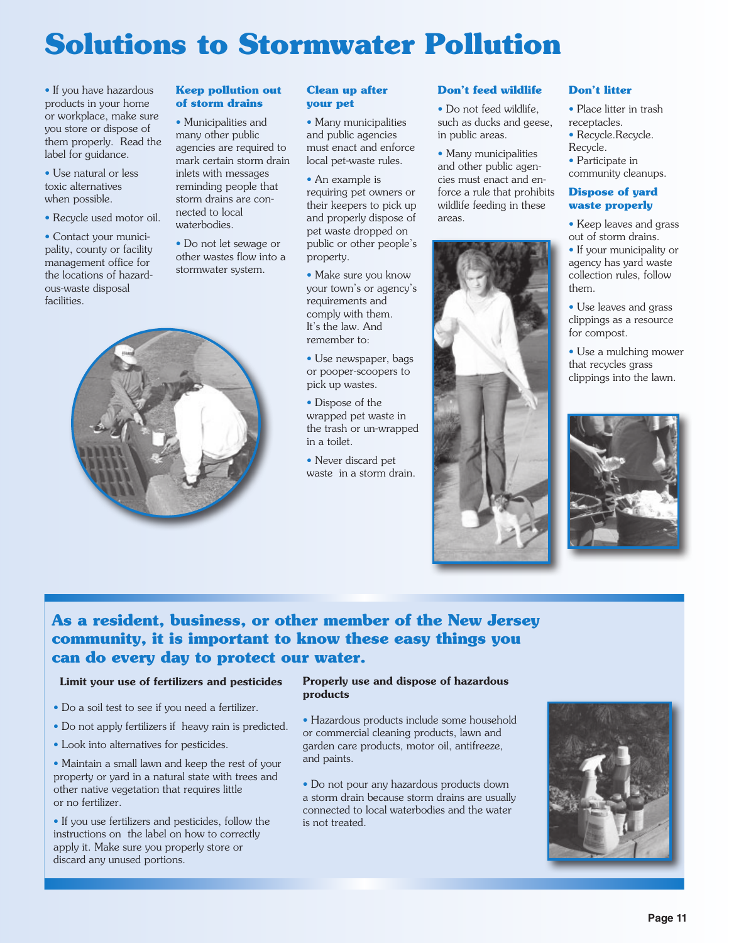## **Solutions to Stormwater Pollution**

• If you have hazardous products in your home or workplace, make sure you store or dispose of them properly. Read the label for guidance.

• Use natural or less toxic alternatives when possible.

• Recycle used motor oil.

• Contact your municipality, county or facility management office for the locations of hazardous-waste disposal facilities.

#### **Keep pollution out of storm drains**

• Municipalities and many other public agencies are required to mark certain storm drain inlets with messages reminding people that storm drains are connected to local waterbodies.

• Do not let sewage or other wastes flow into a stormwater system.



#### **Clean up after your pet**

• Many municipalities and public agencies must enact and enforce local pet-waste rules.

• An example is requiring pet owners or their keepers to pick up and properly dispose of pet waste dropped on public or other people's property.

- Make sure you know your town's or agency's requirements and comply with them. It's the law. And remember to:
- Use newspaper, bags or pooper-scoopers to pick up wastes.
- Dispose of the wrapped pet waste in the trash or un-wrapped in a toilet.
- Never discard pet waste in a storm drain.

#### **Don't feed wildlife**

• Do not feed wildlife such as ducks and geese, in public areas.

• Many municipalities and other public agencies must enact and enforce a rule that prohibits wildlife feeding in these areas.



#### **Don't litter**

• Place litter in trash receptacles.

- Recycle. Recycle. Recycle.
- Participate in
- community cleanups.

#### **Dispose of yard waste properly**

• Keep leaves and grass out of storm drains.

• If your municipality or agency has yard waste collection rules, follow them.

• Use leaves and grass clippings as a resource for compost.

• Use a mulching mower that recycles grass clippings into the lawn.



#### **As a resident, business, or other member of the New Jersey community, it is important to know these easy things you can do every day to protect our water.**

#### Limit your use of fertilizers and pesticides

- Do a soil test to see if you need a fertilizer.
- Do not apply fertilizers if heavy rain is predicted.
- Look into alternatives for pesticides.

• Maintain a small lawn and keep the rest of your property or yard in a natural state with trees and other native vegetation that requires little or no fertilizer.

• If you use fertilizers and pesticides, follow the instructions on the label on how to correctly apply it. Make sure you properly store or discard any unused portions.

#### Properly use and dispose of hazardous products

• Hazardous products include some household or commercial cleaning products, lawn and garden care products, motor oil, antifreeze, and paints.

• Do not pour any hazardous products down a storm drain because storm drains are usually connected to local waterbodies and the water is not treated.